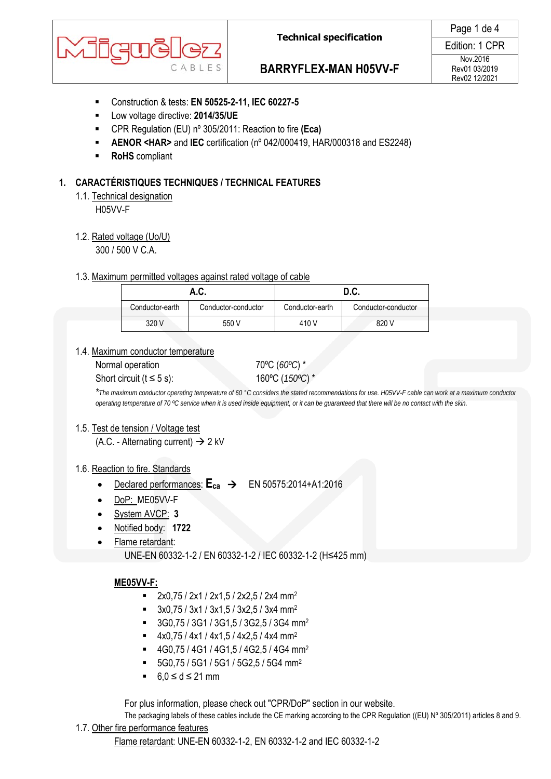

# **BARRYFLEX-MAN H05VV-F**

Edition: 1 CPR Nov.2016 Rev01 03/2019 Rev02 12/2021

- Construction & tests: **EN 50525-2-11, IEC 60227-5**
- Low voltage directive: **2014/35/UE**
- CPR Regulation (EU) nº 305/2011: Reaction to fire **(Eca)**
- **AENOR <HAR>** and **IEC** certification (nº 042/000419, HAR/000318 and ES2248)
- **RoHS** compliant

### **1. CARACTÉRISTIQUES TECHNIQUES / TECHNICAL FEATURES**

1.1. Technical designation

H05VV-F

1.2. Rated voltage (Uo/U)

300 / 500 V C.A.

#### 1.3. Maximum permitted voltages against rated voltage of cable

|                 | A.C.                | D.C.            |                     |  |
|-----------------|---------------------|-----------------|---------------------|--|
| Conductor-earth | Conductor-conductor | Conductor-earth | Conductor-conductor |  |
| 320 V           | 550 V               | 410 V           | 820 V               |  |

### 1.4. Maximum conductor temperature

Normal operation 70°C (*60°C*) \*

Short circuit (t ≤ 5 s): 160°C (*150°C*) \*

*\*The maximum conductor operating temperature of 60 °C considers the stated recommendations for use. H05VV-F cable can work at a maximum conductor operating temperature of 70 ºC service when it is used inside equipment, or it can be guaranteed that there will be no contact with the skin.* 

### 1.5. Test de tension / Voltage test

(A.C. - Alternating current)  $\rightarrow$  2 kV

### 1.6. Reaction to fire. Standards

- Declared performances:  $E_{ca} \rightarrow$  EN 50575:2014+A1:2016
- DoP: ME05VV-F
- System AVCP: **3**
- Notified body: **1722**
- Flame retardant:

UNE-EN 60332-1-2 / EN 60332-1-2 / IEC 60332-1-2 (H≤425 mm)

### **ME05VV-F:**

- $2x0,75 / 2x1 / 2x1,5 / 2x2,5 / 2x4$  mm<sup>2</sup>
- $\bullet$  3x0,75 / 3x1 / 3x1,5 / 3x2,5 / 3x4 mm<sup>2</sup>
- 3G0,75 / 3G1 / 3G1,5 / 3G2,5 / 3G4 mm2
- $4x0,75 / 4x1 / 4x1,5 / 4x2,5 / 4x4$  mm<sup>2</sup>
- 4G0,75 / 4G1 / 4G1,5 / 4G2,5 / 4G4 mm2
- $\blacksquare$  5G0,75 / 5G1 / 5G1 / 5G2,5 / 5G4 mm<sup>2</sup>
- $6.0 \le d \le 21$  mm

For plus information, please check out "CPR/DoP" section in our website.

The packaging labels of these cables include the CE marking according to the CPR Regulation ((EU) Nº 305/2011) articles 8 and 9. 1.7. Other fire performance features

Flame retardant: UNE-EN 60332-1-2, EN 60332-1-2 and IEC 60332-1-2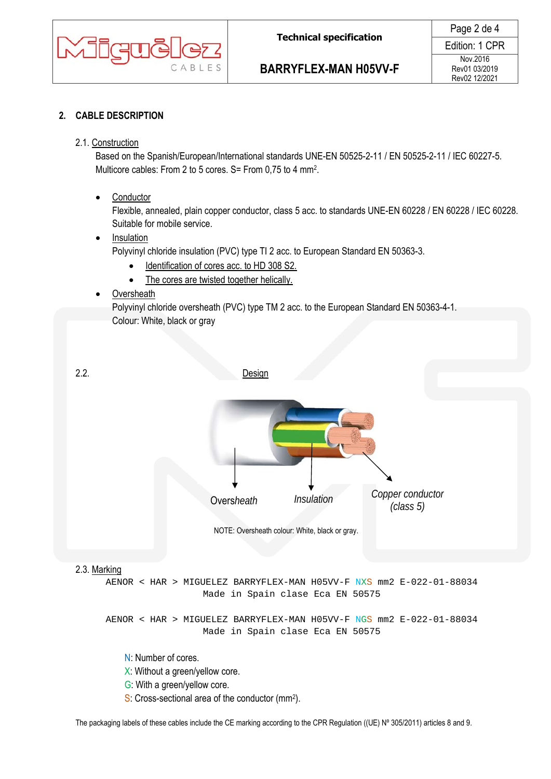

## **2. CABLE DESCRIPTION**

### 2.1. Construction

Based on the Spanish/European/International standards UNE-EN 50525-2-11 / EN 50525-2-11 / IEC 60227-5. Multicore cables: From 2 to 5 cores. S= From 0,75 to 4 mm2.

• Conductor

Flexible, annealed, plain copper conductor, class 5 acc. to standards UNE-EN 60228 / EN 60228 / IEC 60228. Suitable for mobile service.

Insulation

Polyvinyl chloride insulation (PVC) type TI 2 acc. to European Standard EN 50363-3.

- Identification of cores acc. to HD 308 S2.
- The cores are twisted together helically.
- Oversheath

Polyvinyl chloride oversheath (PVC) type TM 2 acc. to the European Standard EN 50363-4-1. Colour: White, black or gray

2.2. Design NOTE: Oversheath colour: White, black or gray. 2.3. Marking AENOR < HAR > MIGUELEZ BARRYFLEX-MAN H05VV-F NXS mm2 E-022-01-88034 Made in Spain clase Eca EN 50575 AENOR < HAR > MIGUELEZ BARRYFLEX-MAN H05VV-F NGS mm2 E-022-01-88034 Made in Spain clase Eca EN 50575 N: Number of cores. X: Without a green/yellow core. G: With a green/yellow core. S: Cross-sectional area of the conductor (mm<sup>2</sup>). *Copper conductor (class 5)* Overs*heath Insulation* 

The packaging labels of these cables include the CE marking according to the CPR Regulation ((UE) N° 305/2011) articles 8 and 9.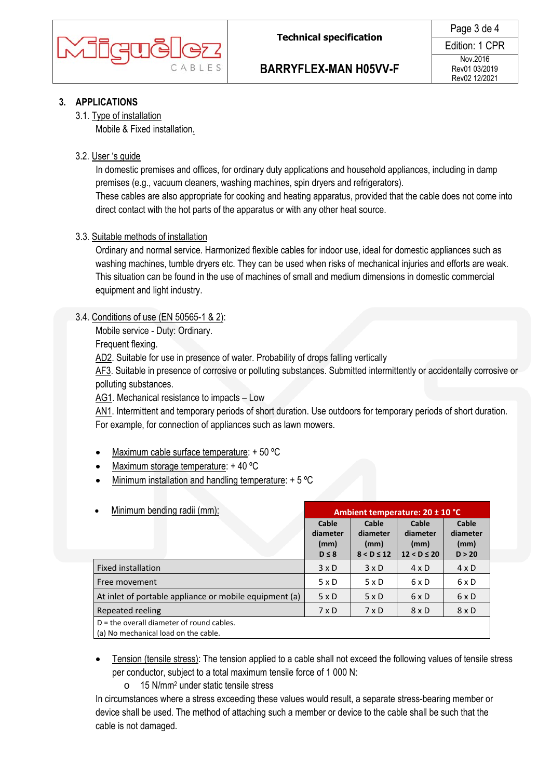

# **BARRYFLEX-MAN H05VV-F**

### **3. APPLICATIONS**

### 3.1. Type of installation

Mobile & Fixed installation.

#### 3.2. User 's guide

In domestic premises and offices, for ordinary duty applications and household appliances, including in damp premises (e.g., vacuum cleaners, washing machines, spin dryers and refrigerators).

These cables are also appropriate for cooking and heating apparatus, provided that the cable does not come into direct contact with the hot parts of the apparatus or with any other heat source.

### 3.3. Suitable methods of installation

Ordinary and normal service. Harmonized flexible cables for indoor use, ideal for domestic appliances such as washing machines, tumble dryers etc. They can be used when risks of mechanical injuries and efforts are weak. This situation can be found in the use of machines of small and medium dimensions in domestic commercial equipment and light industry.

### 3.4. Conditions of use (EN 50565-1 & 2):

Mobile service - Duty: Ordinary.

Frequent flexing.

AD2. Suitable for use in presence of water. Probability of drops falling vertically

AF3. Suitable in presence of corrosive or polluting substances. Submitted intermittently or accidentally corrosive or polluting substances.

AG1. Mechanical resistance to impacts – Low

AN1. Intermittent and temporary periods of short duration. Use outdoors for temporary periods of short duration. For example, for connection of appliances such as lawn mowers.

- Maximum cable surface temperature: + 50 ºC
- Maximum storage temperature: + 40 ºC
- Minimum installation and handling temperature: + 5 °C

| Minimum bending radii (mm):<br>$\bullet$                                            | Ambient temperature: 20 ± 10 °C         |                                              |                                              |                                     |  |
|-------------------------------------------------------------------------------------|-----------------------------------------|----------------------------------------------|----------------------------------------------|-------------------------------------|--|
|                                                                                     | Cable<br>diameter<br>(mm)<br>$D \leq 8$ | Cable<br>diameter<br>(mm)<br>$8 < D \leq 12$ | Cable<br>diameter<br>(mm)<br>$12 < D \le 20$ | Cable<br>diameter<br>(mm)<br>D > 20 |  |
| Fixed installation                                                                  | $3 \times D$                            | $3 \times D$                                 | 4 x D                                        | $4 \times D$                        |  |
| Free movement                                                                       | $5 \times D$                            | 5xD                                          | 6 x D                                        | $6 \times D$                        |  |
| At inlet of portable appliance or mobile equipment (a)                              | $5 \times D$                            | $5 \times D$                                 | 6xD                                          | $6 \times D$                        |  |
| Repeated reeling                                                                    | $7 \times D$                            | $7 \times D$                                 | $8 \times D$                                 | $8 \times D$                        |  |
| $D =$ the overall diameter of round cables.<br>(a) No mechanical load on the cable. |                                         |                                              |                                              |                                     |  |

- Tension (tensile stress): The tension applied to a cable shall not exceed the following values of tensile stress per conductor, subject to a total maximum tensile force of 1 000 N:
	- o 15 N/mm2 under static tensile stress

In circumstances where a stress exceeding these values would result, a separate stress-bearing member or device shall be used. The method of attaching such a member or device to the cable shall be such that the cable is not damaged.